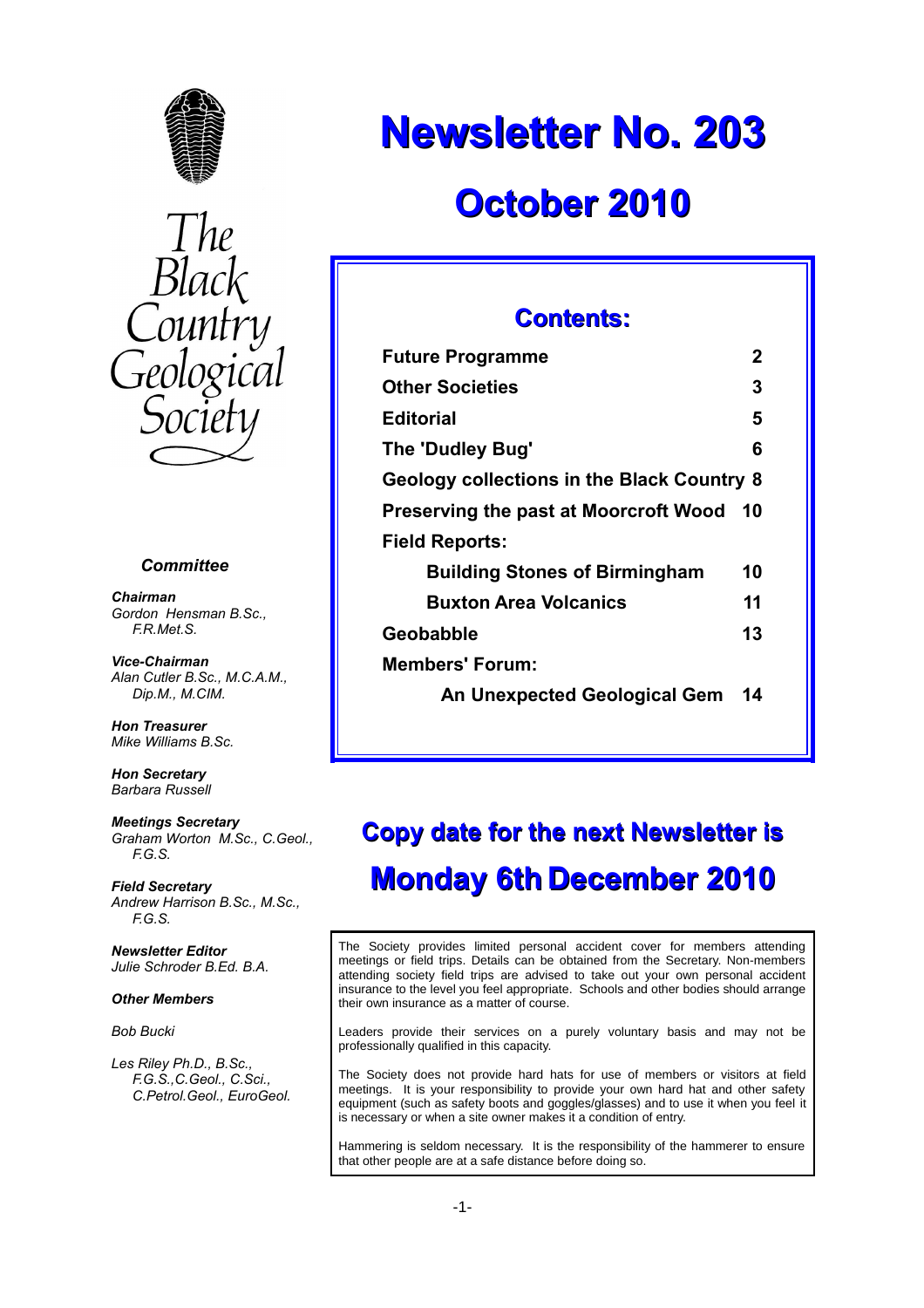



#### *Committee*

*Chairman Gordon Hensman B.Sc., F.R.Met.S.*

*Vice-Chairman Alan Cutler B.Sc., M.C.A.M., Dip.M., M.CIM.*

*Hon Treasurer Mike Williams B.Sc.*

*Hon Secretary Barbara Russell*

*Meetings Secretary Graham Worton M.Sc., C.Geol., F.G.S.*

*Field Secretary Andrew Harrison B.Sc., M.Sc., F.G.S.*

*Newsletter Editor Julie Schroder B.Ed. B.A.*

#### *Other Members*

*Bob Bucki*

*Les Riley Ph.D., B.Sc., F.G.S.,C.Geol., C.Sci., C.Petrol.Geol., EuroGeol.*

# **Newsletter No. 203**

## **October 2010**

#### **Contents:**

| <b>Future Programme</b>                           | 2  |
|---------------------------------------------------|----|
| <b>Other Societies</b>                            | 3  |
| Editorial                                         | 5  |
| The 'Dudley Bug'                                  | 6  |
| <b>Geology collections in the Black Country 8</b> |    |
| <b>Preserving the past at Moorcroft Wood</b>      | 10 |
| <b>Field Reports:</b>                             |    |
| <b>Building Stones of Birmingham</b>              | 10 |
| <b>Buxton Area Volcanics</b>                      | 11 |
| Geobabble                                         | 13 |
| <b>Members' Forum:</b>                            |    |
| An Unexpected Geological Gem                      | 14 |
|                                                   |    |

## **Copy date for the next Newsletter is Monday 6th December 2010**

The Society provides limited personal accident cover for members attending meetings or field trips. Details can be obtained from the Secretary. Non-members attending society field trips are advised to take out your own personal accident insurance to the level you feel appropriate. Schools and other bodies should arrange their own insurance as a matter of course.

Leaders provide their services on a purely voluntary basis and may not be professionally qualified in this capacity.

The Society does not provide hard hats for use of members or visitors at field meetings. It is your responsibility to provide your own hard hat and other safety equipment (such as safety boots and goggles/glasses) and to use it when you feel it is necessary or when a site owner makes it a condition of entry.

Hammering is seldom necessary. It is the responsibility of the hammerer to ensure that other people are at a safe distance before doing so.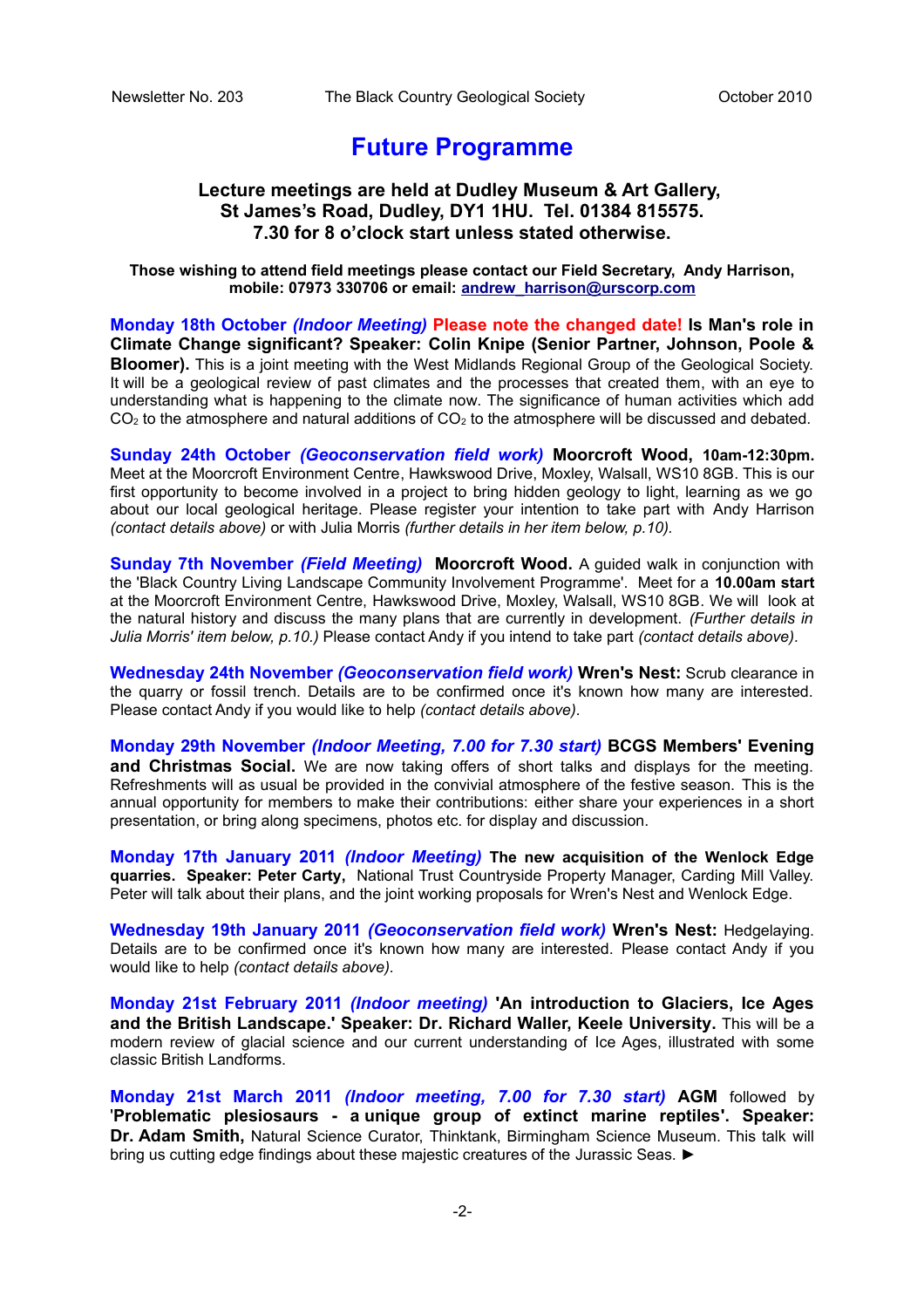#### **Future Programme**

#### **Lecture meetings are held at Dudley Museum & Art Gallery, St James's Road, Dudley, DY1 1HU. Tel. 01384 815575. 7.30 for 8 o'clock start unless stated otherwise.**

**Those wishing to attend field meetings please contact our Field Secretary, Andy Harrison, mobile: 07973 330706 or email: [andrew\\_harrison@urscorp.com](mailto:andrew_harrison@urscorp.com)**

**Monday 18th October** *(Indoor Meeting)* **Please note the changed date! Is Man's role in Climate Change significant? Speaker: Colin Knipe (Senior Partner, Johnson, Poole & Bloomer).** This is a joint meeting with the West Midlands Regional Group of the Geological Society. It will be a geological review of past climates and the processes that created them, with an eye to understanding what is happening to the climate now. The significance of human activities which add  $CO<sub>2</sub>$  to the atmosphere and natural additions of  $CO<sub>2</sub>$  to the atmosphere will be discussed and debated.

**Sunday 24th October** *(Geoconservation field work)* **Moorcroft Wood, 10am-12:30pm.** Meet at the Moorcroft Environment Centre, Hawkswood Drive, Moxley, Walsall, WS10 8GB. This is our first opportunity to become involved in a project to bring hidden geology to light, learning as we go about our local geological heritage. Please register your intention to take part with Andy Harrison *(contact details above)* or with Julia Morris *(further details in her item below, p.10).*

**Sunday 7th November** *(Field Meeting)* **Moorcroft Wood.** A guided walk in conjunction with the 'Black Country Living Landscape Community Involvement Programme'. Meet for a **10.00am start** at the Moorcroft Environment Centre, Hawkswood Drive, Moxley, Walsall, WS10 8GB. We will look at the natural history and discuss the many plans that are currently in development. *(Further details in Julia Morris' item below, p.10.)* Please contact Andy if you intend to take part *(contact details above).*

**Wednesday 24th November** *(Geoconservation field work)* **Wren's Nest:** Scrub clearance in the quarry or fossil trench. Details are to be confirmed once it's known how many are interested. Please contact Andy if you would like to help *(contact details above).*

**Monday 29th November** *(Indoor Meeting, 7.00 for 7.30 start)* **BCGS Members' Evening and Christmas Social.** We are now taking offers of short talks and displays for the meeting. Refreshments will as usual be provided in the convivial atmosphere of the festive season. This is the annual opportunity for members to make their contributions: either share your experiences in a short presentation, or bring along specimens, photos etc. for display and discussion.

**Monday 17th January 2011** *(Indoor Meeting)* **The new acquisition of the Wenlock Edge quarries. Speaker: Peter Carty,** National Trust Countryside Property Manager, Carding Mill Valley. Peter will talk about their plans, and the joint working proposals for Wren's Nest and Wenlock Edge.

**Wednesday 19th January 2011** *(Geoconservation field work)* **Wren's Nest:** Hedgelaying. Details are to be confirmed once it's known how many are interested. Please contact Andy if you would like to help *(contact details above).*

**Monday 21st February 2011** *(Indoor meeting)* **'An introduction to Glaciers, Ice Ages and the British Landscape.' Speaker: Dr. Richard Waller, Keele University.** This will be a modern review of glacial science and our current understanding of Ice Ages, illustrated with some classic British Landforms.

**Monday 21st March 2011** *(Indoor meeting, 7.00 for 7.30 start)* **AGM** followed by '**Problematic plesiosaurs - a unique group of extinct marine reptiles'. Speaker: Dr. Adam Smith,** Natural Science Curator, Thinktank, Birmingham Science Museum. This talk will bring us cutting edge findings about these majestic creatures of the Jurassic Seas. ►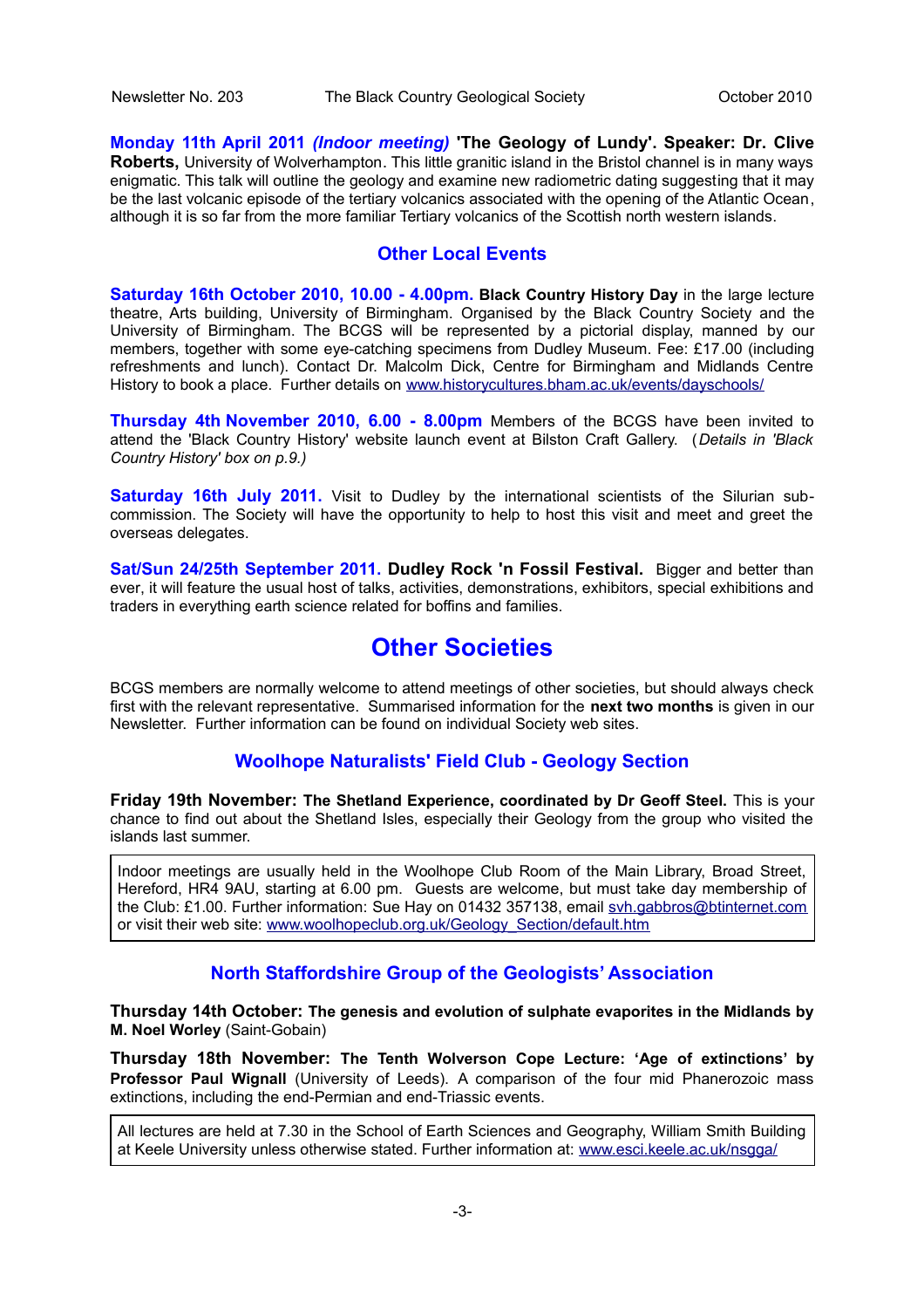**Monday 11th April 2011** *(Indoor meeting)* **'The Geology of Lundy'. Speaker: Dr. Clive Roberts,** University of Wolverhampton. This little granitic island in the Bristol channel is in many ways enigmatic. This talk will outline the geology and examine new radiometric dating suggesting that it may be the last volcanic episode of the tertiary volcanics associated with the opening of the Atlantic Ocean, although it is so far from the more familiar Tertiary volcanics of the Scottish north western islands.

#### **Other Local Events**

**Saturday 16th October 2010, 10.00 - 4.00pm. Black Country History Day** in the large lecture theatre, Arts building, University of Birmingham. Organised by the Black Country Society and the University of Birmingham. The BCGS will be represented by a pictorial display, manned by our members, together with some eye-catching specimens from Dudley Museum. Fee: £17.00 (including refreshments and lunch). Contact Dr. Malcolm Dick, Centre for Birmingham and Midlands Centre History to book a place. Further details on [www.historycultures.bham.ac.uk/events/dayschools/](http://www.historycultures.bham.ac.uk/events/dayschools/index.shtml)

**Thursday 4th November 2010, 6.00 - 8.00pm** Members of the BCGS have been invited to attend the 'Black Country History' website launch event at Bilston Craft Gallery. (*Details in 'Black Country History' box on p.9.)*

**Saturday 16th July 2011.** Visit to Dudley by the international scientists of the Silurian subcommission. The Society will have the opportunity to help to host this visit and meet and greet the overseas delegates.

**Sat/Sun 24/25th September 2011. Dudley Rock 'n Fossil Festival.** Bigger and better than ever, it will feature the usual host of talks, activities, demonstrations, exhibitors, special exhibitions and traders in everything earth science related for boffins and families.

#### **Other Societies**

BCGS members are normally welcome to attend meetings of other societies, but should always check first with the relevant representative. Summarised information for the **next two months** is given in our Newsletter. Further information can be found on individual Society web sites.

#### **Woolhope Naturalists' Field Club - Geology Section**

**Friday 19th November: The Shetland Experience, coordinated by Dr Geoff Steel.** This is your chance to find out about the Shetland Isles, especially their Geology from the group who visited the islands last summer.

Indoor meetings are usually held in the Woolhope Club Room of the Main Library, Broad Street, Hereford, HR4 9AU, starting at 6.00 pm. Guests are welcome, but must take day membership of the Club: £1.00. Further information: Sue Hay on 01432 357138, email [svh.gabbros@btinternet.com](mailto:svh.gabbros@btinternet.com) or visit their web site: [www.woolhopeclub.org.uk/Geology\\_Section/default.htm](http://www.woolhopeclub.org.uk/Geology_Section/default.htm)

#### **North Staffordshire Group of the Geologists' Association**

**Thursday 14th October: The genesis and evolution of sulphate evaporites in the Midlands by M. Noel Worley** (Saint-Gobain)

**Thursday 18th November: The Tenth Wolverson Cope Lecture: 'Age of extinctions' by Professor Paul Wignall** (University of Leeds). A comparison of the four mid Phanerozoic mass extinctions, including the end-Permian and end-Triassic events.

All lectures are held at 7.30 in the School of Earth Sciences and Geography, William Smith Building at Keele University unless otherwise stated. Further information at: [www.esci.keele.ac.uk/nsgga/](http://www.esci.keele.ac.uk/nsgga/)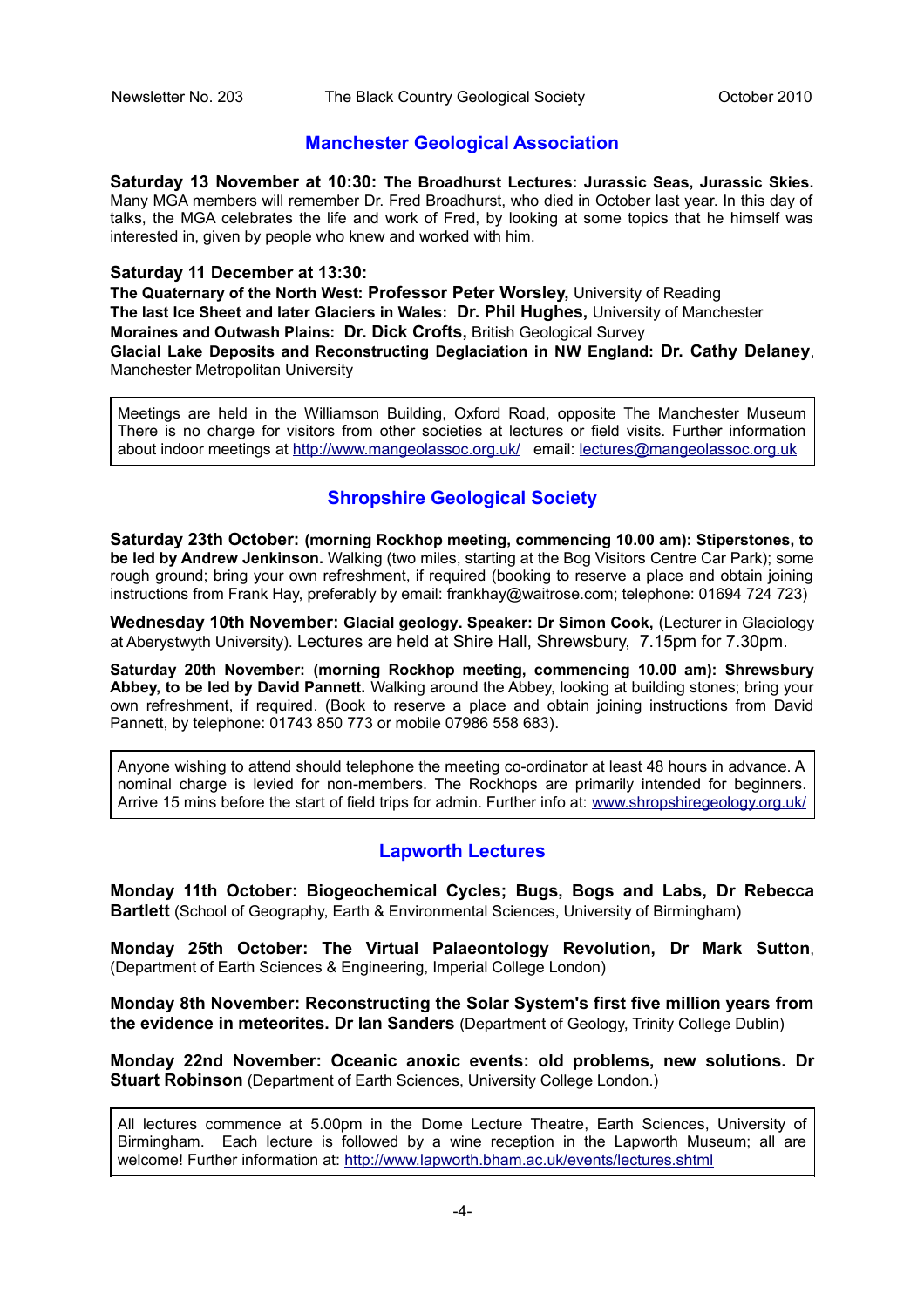#### **Manchester Geological Association**

**Saturday 13 November at 10:30: The Broadhurst Lectures: Jurassic Seas, Jurassic Skies.** Many MGA members will remember Dr. Fred Broadhurst, who died in October last year. In this day of talks, the MGA celebrates the life and work of Fred, by looking at some topics that he himself was interested in, given by people who knew and worked with him.

#### **Saturday 11 December at 13:30:**

**The Quaternary of the North West: Professor Peter Worsley,** University of Reading **The last Ice Sheet and later Glaciers in Wales: Dr. Phil Hughes,** University of Manchester **Moraines and Outwash Plains: Dr. Dick Crofts,** British Geological Survey **Glacial Lake Deposits and Reconstructing Deglaciation in NW England: Dr. Cathy Delaney**, Manchester Metropolitan University

Meetings are held in the Williamson Building, Oxford Road, opposite The Manchester Museum There is no charge for visitors from other societies at lectures or field visits. Further information about indoor meetings at <http://www.mangeolassoc.org.uk/>email: lectures@mangeolassoc.org.uk

#### **Shropshire Geological Society**

**Saturday 23th October: (morning Rockhop meeting, commencing 10.00 am): Stiperstones, to be led by Andrew Jenkinson.** Walking (two miles, starting at the Bog Visitors Centre Car Park); some rough ground; bring your own refreshment, if required (booking to reserve a place and obtain joining instructions from Frank Hay, preferably by email: frankhay@waitrose.com; telephone: 01694 724 723)

**Wednesday 10th November: Glacial geology. Speaker: Dr Simon Cook,** (Lecturer in Glaciology at Aberystwyth University). Lectures are held at Shire Hall, Shrewsbury, 7.15pm for 7.30pm.

**Saturday 20th November: (morning Rockhop meeting, commencing 10.00 am): Shrewsbury Abbey, to be led by David Pannett.** Walking around the Abbey, looking at building stones; bring your own refreshment, if required. (Book to reserve a place and obtain joining instructions from David Pannett, by telephone: 01743 850 773 or mobile 07986 558 683).

Anyone wishing to attend should telephone the meeting co-ordinator at least 48 hours in advance. A nominal charge is levied for non-members. The Rockhops are primarily intended for beginners. Arrive 15 mins before the start of field trips for admin. Further info at: [www.shropshiregeology.org.uk/](http://www.shropshiregeology.org.uk/)

#### **Lapworth Lectures**

**Monday 11th October: Biogeochemical Cycles; Bugs, Bogs and Labs, Dr Rebecca Bartlett** (School of Geography, Earth & Environmental Sciences, University of Birmingham)

**Monday 25th October: The Virtual Palaeontology Revolution, Dr Mark Sutton**, (Department of Earth Sciences & Engineering, Imperial College London)

**Monday 8th November: Reconstructing the Solar System's first five million years from the evidence in meteorites. Dr Ian Sanders** (Department of Geology, Trinity College Dublin)

**Monday 22nd November: Oceanic anoxic events: old problems, new solutions. Dr Stuart Robinson** (Department of Earth Sciences, University College London.)

All lectures commence at 5.00pm in the Dome Lecture Theatre, Earth Sciences, University of Birmingham. Each lecture is followed by a wine reception in the Lapworth Museum; all are welcome! Further information at:<http://www.lapworth.bham.ac.uk/events/lectures.shtml>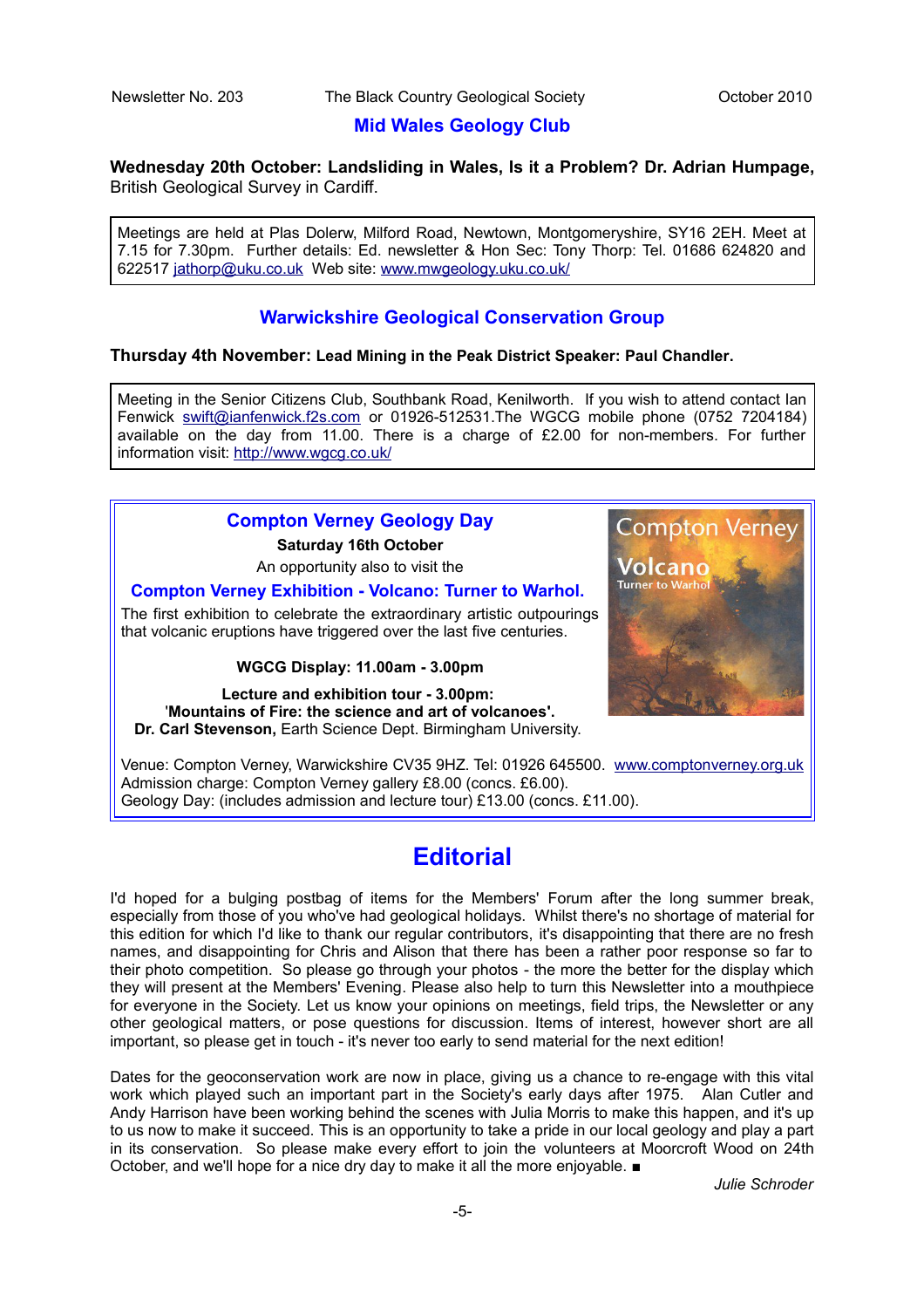#### **Mid Wales Geology Club**

**Wednesday 20th October: Landsliding in Wales, Is it a Problem? Dr. Adrian Humpage,** British Geological Survey in Cardiff.

Meetings are held at Plas Dolerw, Milford Road, Newtown, Montgomeryshire, SY16 2EH. Meet at 7.15 for 7.30pm. Further details: Ed. newsletter & Hon Sec: Tony Thorp: Tel. 01686 624820 and 622517 [jathorp@uku.co.uk](mailto:jathorp@uku.co.uk) Web site: [www.mwgeology.uku.co.uk/](http://www.mwgeology.uku.co.uk/)

#### **Warwickshire Geological Conservation Group**

#### **Thursday 4th November: Lead Mining in the Peak District Speaker: Paul Chandler.**

Meeting in the Senior Citizens Club, Southbank Road, Kenilworth. If you wish to attend contact Ian Fenwick [swift@ianfenwick.f2s.com](mailto:swift@ianfenwick.f2s.com) or 01926-512531.The WGCG mobile phone (0752 7204184) available on the day from 11.00. There is a charge of £2.00 for non-members. For further information visit:<http://www.wgcg.co.uk/>

#### **Compton Verney Geology Day**

**Saturday 16th October**

An opportunity also to visit the

#### **Compton Verney Exhibition - Volcano: Turner to Warhol.**

The first exhibition to celebrate the extraordinary artistic outpourings that volcanic eruptions have triggered over the last five centuries.

#### **WGCG Display: 11.00am - 3.00pm**

**Lecture and exhibition tour - 3.00pm:** '**Mountains of Fire: the science and art of volcanoes'. Dr. Carl Stevenson,** Earth Science Dept. Birmingham University.

Venue: Compton Verney, Warwickshire CV35 9HZ. Tel: 01926 645500. [www.comptonverney.org.uk](http://www.comptonverney.org.uk/) Admission charge: Compton Verney gallery £8.00 (concs. £6.00). Geology Day: (includes admission and lecture tour) £13.00 (concs. £11.00).

#### **Editorial**

I'd hoped for a bulging postbag of items for the Members' Forum after the long summer break, especially from those of you who've had geological holidays. Whilst there's no shortage of material for this edition for which I'd like to thank our regular contributors, it's disappointing that there are no fresh names, and disappointing for Chris and Alison that there has been a rather poor response so far to their photo competition. So please go through your photos - the more the better for the display which they will present at the Members' Evening. Please also help to turn this Newsletter into a mouthpiece for everyone in the Society. Let us know your opinions on meetings, field trips, the Newsletter or any other geological matters, or pose questions for discussion. Items of interest, however short are all important, so please get in touch - it's never too early to send material for the next edition!

Dates for the geoconservation work are now in place, giving us a chance to re-engage with this vital work which played such an important part in the Society's early days after 1975. Alan Cutler and Andy Harrison have been working behind the scenes with Julia Morris to make this happen, and it's up to us now to make it succeed. This is an opportunity to take a pride in our local geology and play a part in its conservation. So please make every effort to join the volunteers at Moorcroft Wood on 24th October, and we'll hope for a nice dry day to make it all the more enjoyable. ■

*Julie Schroder*

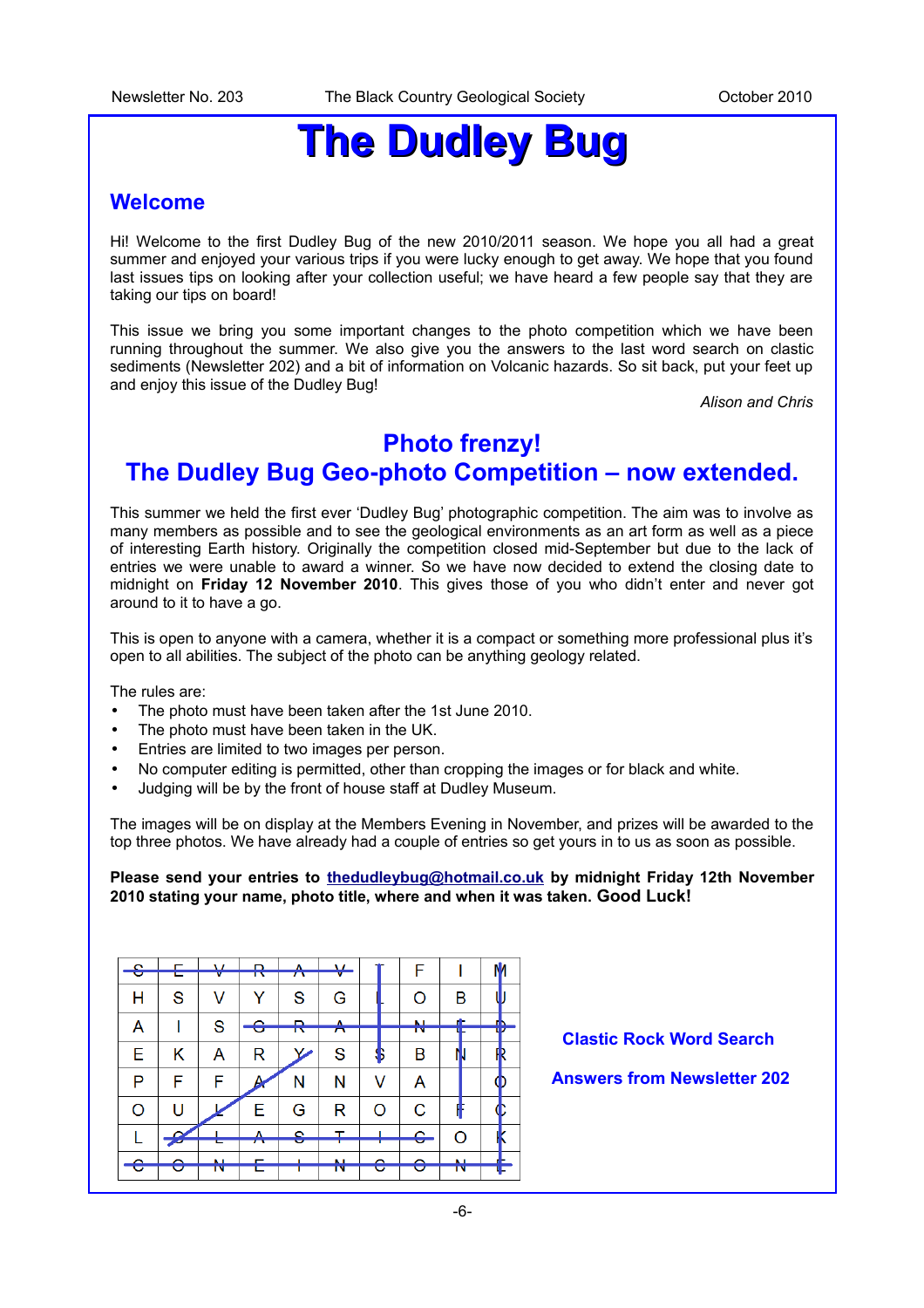## **The Dudley Bug**

#### **Welcome**

Hi! Welcome to the first Dudley Bug of the new 2010/2011 season. We hope you all had a great summer and enjoyed your various trips if you were lucky enough to get away. We hope that you found last issues tips on looking after your collection useful; we have heard a few people say that they are taking our tips on board!

This issue we bring you some important changes to the photo competition which we have been running throughout the summer. We also give you the answers to the last word search on clastic sediments (Newsletter 202) and a bit of information on Volcanic hazards. So sit back, put your feet up and enjoy this issue of the Dudley Bug!

*Alison and Chris*

### **Photo frenzy!**

#### **The Dudley Bug Geo-photo Competition – now extended.**

This summer we held the first ever 'Dudley Bug' photographic competition. The aim was to involve as many members as possible and to see the geological environments as an art form as well as a piece of interesting Earth history. Originally the competition closed mid-September but due to the lack of entries we were unable to award a winner. So we have now decided to extend the closing date to midnight on **Friday 12 November 2010**. This gives those of you who didn't enter and never got around to it to have a go.

This is open to anyone with a camera, whether it is a compact or something more professional plus it's open to all abilities. The subject of the photo can be anything geology related.

The rules are:

- The photo must have been taken after the 1st June 2010.
- The photo must have been taken in the UK.
- Entries are limited to two images per person.
- No computer editing is permitted, other than cropping the images or for black and white.
- Judging will be by the front of house staff at Dudley Museum.

The images will be on display at the Members Evening in November, and prizes will be awarded to the top three photos. We have already had a couple of entries so get yours in to us as soon as possible.

**Please send your entries to [thedudleybug@hotmail.co.uk](mailto:thedudleybug@hotmail.co.uk) by midnight Friday 12th November 2010 stating your name, photo title, where and when it was taken. Good Luck!** 

| $\mathbf{\Omega}$ |   | $\mathbf{u}$ | D                   | Δ.                       | $\mathbf{v}$ |    |  | F  |    |   |
|-------------------|---|--------------|---------------------|--------------------------|--------------|----|--|----|----|---|
| U                 |   |              | ᠇᠊                  | $\overline{\phantom{a}}$ |              |    |  |    |    |   |
| Н                 | S |              | Y                   | S                        | G            |    |  | O  | B  |   |
|                   |   | S            | $\hat{\phantom{a}}$ |                          | Δ            |    |  | M  | æ  |   |
| Α                 |   |              | c                   | ™                        | π            |    |  | τv |    | ш |
| E                 | Κ | Α            | R                   |                          | S            | \$ |  | В  |    |   |
| P                 | F | F            | A                   | Ν                        | Ν            | v  |  | A  |    |   |
| O                 | U |              | Е                   | G                        | R            | O  |  | C  | н  |   |
|                   |   |              | A                   | $\bullet$                | T            |    |  | ê  | റ  |   |
|                   |   |              |                     |                          |              |    |  |    |    |   |
|                   |   |              |                     |                          | K.           |    |  |    | M  |   |
| ᠸ                 |   | īν           |                     |                          | īν           | U  |  |    | īΝ |   |

**Clastic Rock Word Search** 

#### **Answers from Newsletter 202**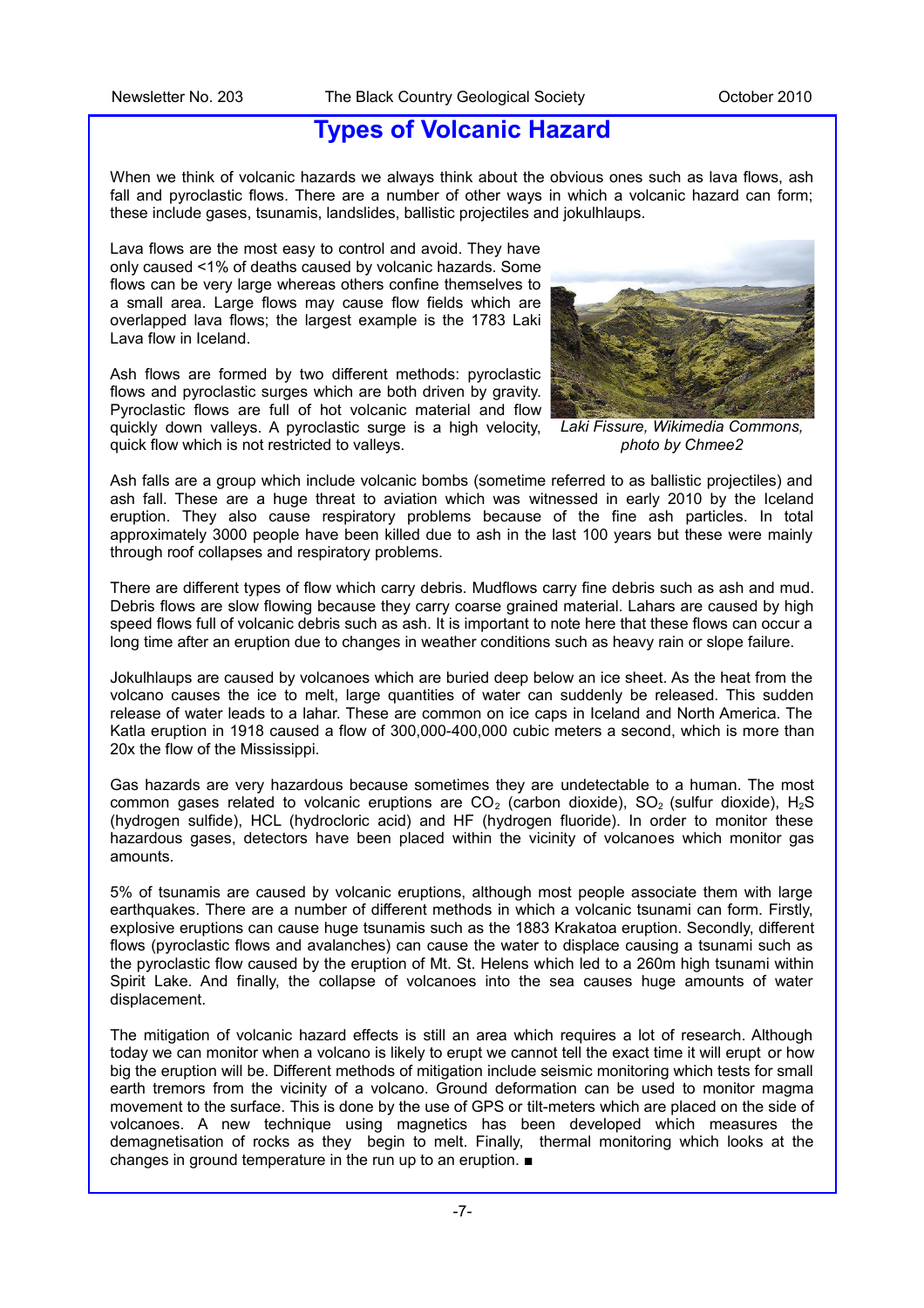#### **Types of Volcanic Hazard**

When we think of volcanic hazards we always think about the obvious ones such as lava flows, ash fall and pyroclastic flows. There are a number of other ways in which a volcanic hazard can form; these include gases, tsunamis, landslides, ballistic projectiles and jokulhlaups.

Lava flows are the most easy to control and avoid. They have only caused <1% of deaths caused by volcanic hazards. Some flows can be very large whereas others confine themselves to a small area. Large flows may cause flow fields which are overlapped lava flows; the largest example is the 1783 Laki Lava flow in Iceland.

Ash flows are formed by two different methods: pyroclastic flows and pyroclastic surges which are both driven by gravity. Pyroclastic flows are full of hot volcanic material and flow quickly down valleys. A pyroclastic surge is a high velocity, quick flow which is not restricted to valleys.



*Laki Fissure, Wikimedia Commons, photo by Chmee2*

Ash falls are a group which include volcanic bombs (sometime referred to as ballistic projectiles) and ash fall. These are a huge threat to aviation which was witnessed in early 2010 by the Iceland eruption. They also cause respiratory problems because of the fine ash particles. In total approximately 3000 people have been killed due to ash in the last 100 years but these were mainly through roof collapses and respiratory problems.

There are different types of flow which carry debris. Mudflows carry fine debris such as ash and mud. Debris flows are slow flowing because they carry coarse grained material. Lahars are caused by high speed flows full of volcanic debris such as ash. It is important to note here that these flows can occur a long time after an eruption due to changes in weather conditions such as heavy rain or slope failure.

Jokulhlaups are caused by volcanoes which are buried deep below an ice sheet. As the heat from the volcano causes the ice to melt, large quantities of water can suddenly be released. This sudden release of water leads to a lahar. These are common on ice caps in Iceland and North America. The Katla eruption in 1918 caused a flow of 300,000-400,000 cubic meters a second, which is more than 20x the flow of the Mississippi.

Gas hazards are very hazardous because sometimes they are undetectable to a human. The most common gases related to volcanic eruptions are  $CO<sub>2</sub>$  (carbon dioxide),  $SO<sub>2</sub>$  (sulfur dioxide), H<sub>2</sub>S (hydrogen sulfide), HCL (hydrocloric acid) and HF (hydrogen fluoride). In order to monitor these hazardous gases, detectors have been placed within the vicinity of volcanoes which monitor gas amounts.

5% of tsunamis are caused by volcanic eruptions, although most people associate them with large earthquakes. There are a number of different methods in which a volcanic tsunami can form. Firstly, explosive eruptions can cause huge tsunamis such as the 1883 Krakatoa eruption. Secondly, different flows (pyroclastic flows and avalanches) can cause the water to displace causing a tsunami such as the pyroclastic flow caused by the eruption of Mt. St. Helens which led to a 260m high tsunami within Spirit Lake. And finally, the collapse of volcanoes into the sea causes huge amounts of water displacement.

The mitigation of volcanic hazard effects is still an area which requires a lot of research. Although today we can monitor when a volcano is likely to erupt we cannot tell the exact time it will erupt or how big the eruption will be. Different methods of mitigation include seismic monitoring which tests for small earth tremors from the vicinity of a volcano. Ground deformation can be used to monitor magma movement to the surface. This is done by the use of GPS or tilt-meters which are placed on the side of volcanoes. A new technique using magnetics has been developed which measures the demagnetisation of rocks as they begin to melt. Finally, thermal monitoring which looks at the changes in ground temperature in the run up to an eruption. ■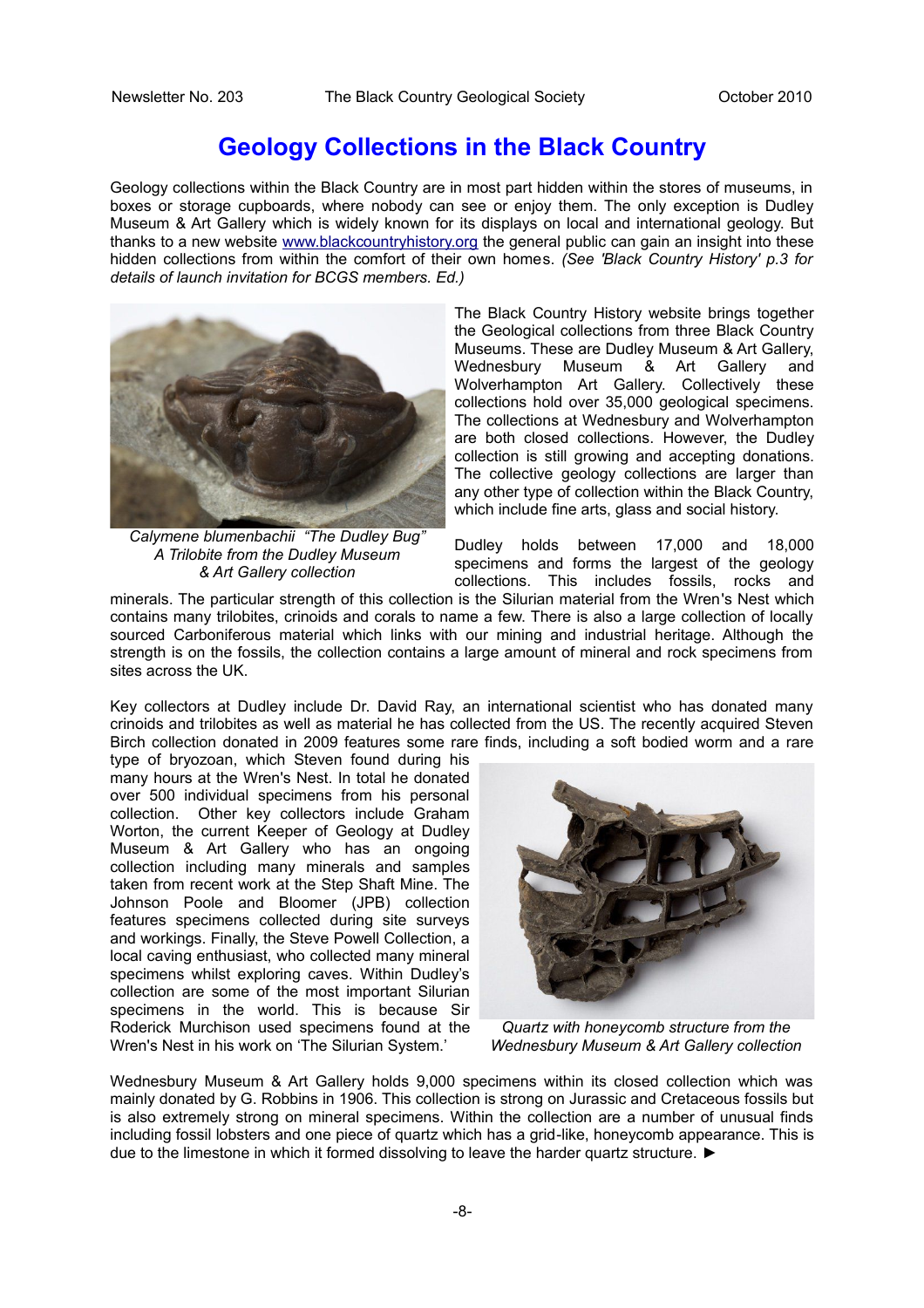#### **Geology Collections in the Black Country**

Geology collections within the Black Country are in most part hidden within the stores of museums, in boxes or storage cupboards, where nobody can see or enjoy them. The only exception is Dudley Museum & Art Gallery which is widely known for its displays on local and international geology. But thanks to a new website [www.blackcountryhistory.org](http://www.blackcountryhistory.org/) the general public can gain an insight into these hidden collections from within the comfort of their own homes. *(See 'Black Country History' p.3 for details of launch invitation for BCGS members. Ed.)*



*Calymene blumenbachii "The Dudley Bug" A Trilobite from the Dudley Museum & Art Gallery collection*

The Black Country History website brings together the Geological collections from three Black Country Museums. These are Dudley Museum & Art Gallery, Wednesbury Museum & Art Gallery and Wolverhampton Art Gallery. Collectively these collections hold over 35,000 geological specimens. The collections at Wednesbury and Wolverhampton are both closed collections. However, the Dudley collection is still growing and accepting donations. The collective geology collections are larger than any other type of collection within the Black Country, which include fine arts, glass and social history.

Dudley holds between 17,000 and 18,000 specimens and forms the largest of the geology collections. This includes fossils, rocks and

minerals. The particular strength of this collection is the Silurian material from the Wren's Nest which contains many trilobites, crinoids and corals to name a few. There is also a large collection of locally sourced Carboniferous material which links with our mining and industrial heritage. Although the strength is on the fossils, the collection contains a large amount of mineral and rock specimens from sites across the UK.

Key collectors at Dudley include Dr. David Ray, an international scientist who has donated many crinoids and trilobites as well as material he has collected from the US. The recently acquired Steven Birch collection donated in 2009 features some rare finds, including a soft bodied worm and a rare

type of bryozoan, which Steven found during his many hours at the Wren's Nest. In total he donated over 500 individual specimens from his personal collection. Other key collectors include Graham Worton, the current Keeper of Geology at Dudley Museum & Art Gallery who has an ongoing collection including many minerals and samples taken from recent work at the Step Shaft Mine. The Johnson Poole and Bloomer (JPB) collection features specimens collected during site surveys and workings. Finally, the Steve Powell Collection, a local caving enthusiast, who collected many mineral specimens whilst exploring caves. Within Dudley's collection are some of the most important Silurian specimens in the world. This is because Sir Roderick Murchison used specimens found at the Wren's Nest in his work on 'The Silurian System.'



*Quartz with honeycomb structure from the Wednesbury Museum & Art Gallery collection*

Wednesbury Museum & Art Gallery holds 9,000 specimens within its closed collection which was mainly donated by G. Robbins in 1906. This collection is strong on Jurassic and Cretaceous fossils but is also extremely strong on mineral specimens. Within the collection are a number of unusual finds including fossil lobsters and one piece of quartz which has a grid-like, honeycomb appearance. This is due to the limestone in which it formed dissolving to leave the harder quartz structure. ►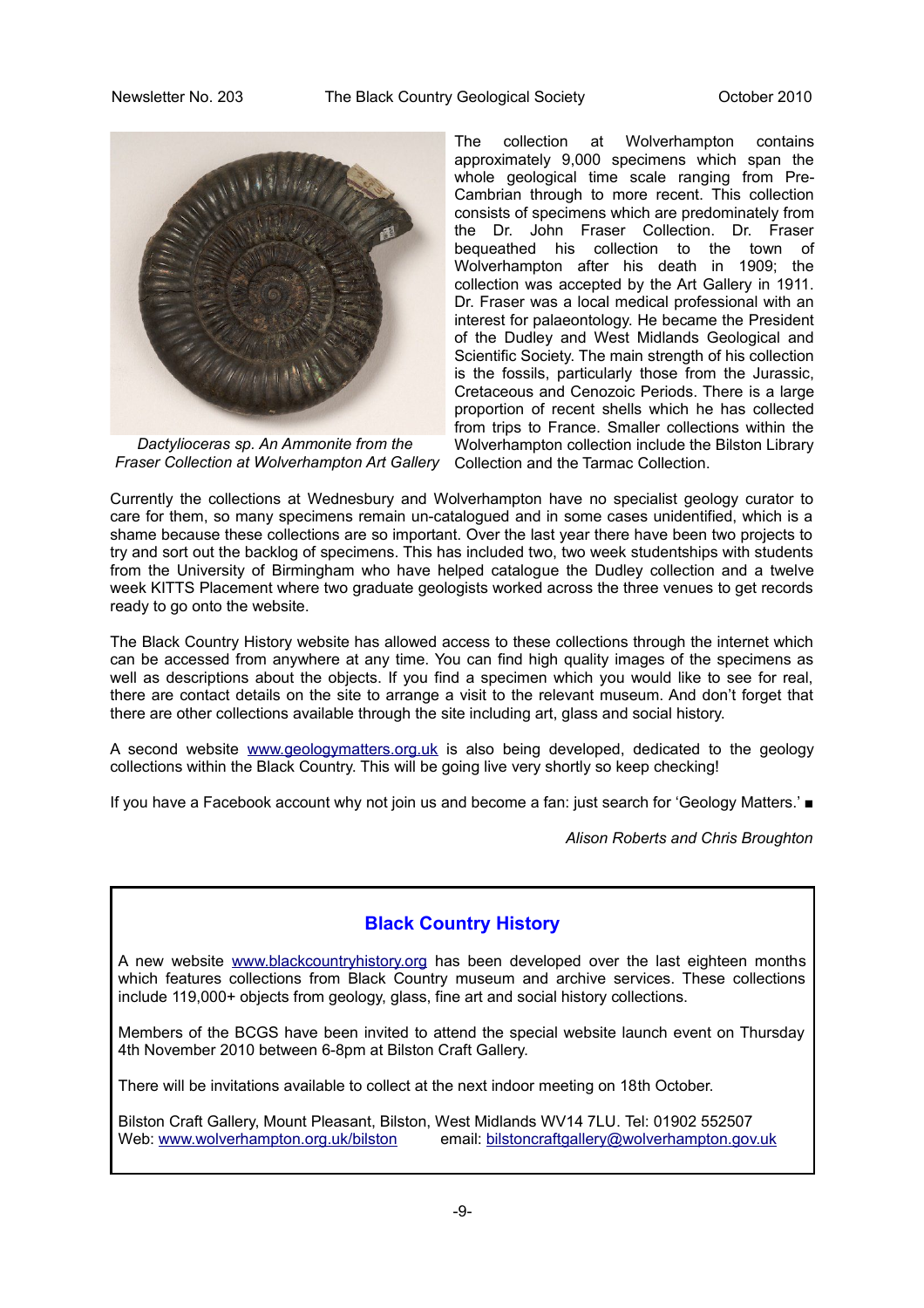

Fraser Collection at Wolverhampton Art Gallery Collection and the Tarmac Collection. *Dactylioceras sp. An Ammonite from the* 

The collection at Wolverhampton contains approximately 9,000 specimens which span the whole geological time scale ranging from Pre-Cambrian through to more recent. This collection consists of specimens which are predominately from the Dr. John Fraser Collection. Dr. Fraser bequeathed his collection to the town of Wolverhampton after his death in 1909; the collection was accepted by the Art Gallery in 1911. Dr. Fraser was a local medical professional with an interest for palaeontology. He became the President of the Dudley and West Midlands Geological and Scientific Society. The main strength of his collection is the fossils, particularly those from the Jurassic, Cretaceous and Cenozoic Periods. There is a large proportion of recent shells which he has collected from trips to France. Smaller collections within the Wolverhampton collection include the Bilston Library

Currently the collections at Wednesbury and Wolverhampton have no specialist geology curator to care for them, so many specimens remain un-catalogued and in some cases unidentified, which is a shame because these collections are so important. Over the last year there have been two projects to try and sort out the backlog of specimens. This has included two, two week studentships with students from the University of Birmingham who have helped catalogue the Dudley collection and a twelve week KITTS Placement where two graduate geologists worked across the three venues to get records ready to go onto the website.

The Black Country History website has allowed access to these collections through the internet which can be accessed from anywhere at any time. You can find high quality images of the specimens as well as descriptions about the objects. If you find a specimen which you would like to see for real, there are contact details on the site to arrange a visit to the relevant museum. And don't forget that there are other collections available through the site including art, glass and social history.

A second website [www.geologymatters.org.uk](http://www.geologymatters.org.uk/) is also being developed, dedicated to the geology collections within the Black Country. This will be going live very shortly so keep checking!

If you have a Facebook account why not join us and become a fan: just search for 'Geology Matters.' ■

*Alison Roberts and Chris Broughton*

#### **Black Country History**

A new website [www.blackcountryhistory.org](http://www.blackcountryhistory.org/) has been developed over the last eighteen months which features collections from Black Country museum and archive services. These collections include 119,000+ objects from geology, glass, fine art and social history collections.

Members of the BCGS have been invited to attend the special website launch event on Thursday 4th November 2010 between 6-8pm at Bilston Craft Gallery.

There will be invitations available to collect at the next indoor meeting on 18th October.

Bilston Craft Gallery, Mount Pleasant, Bilston, West Midlands WV14 7LU. Tel: 01902 552507 Web: [www.wolverhampton.org.uk/bilston](http://www.wolverhampton.org.uk/bilston) email: [bilstoncraftgallery@wolverhampton.gov.uk](mailto:bilstoncraftgallery@wolverhampton.gov.uk)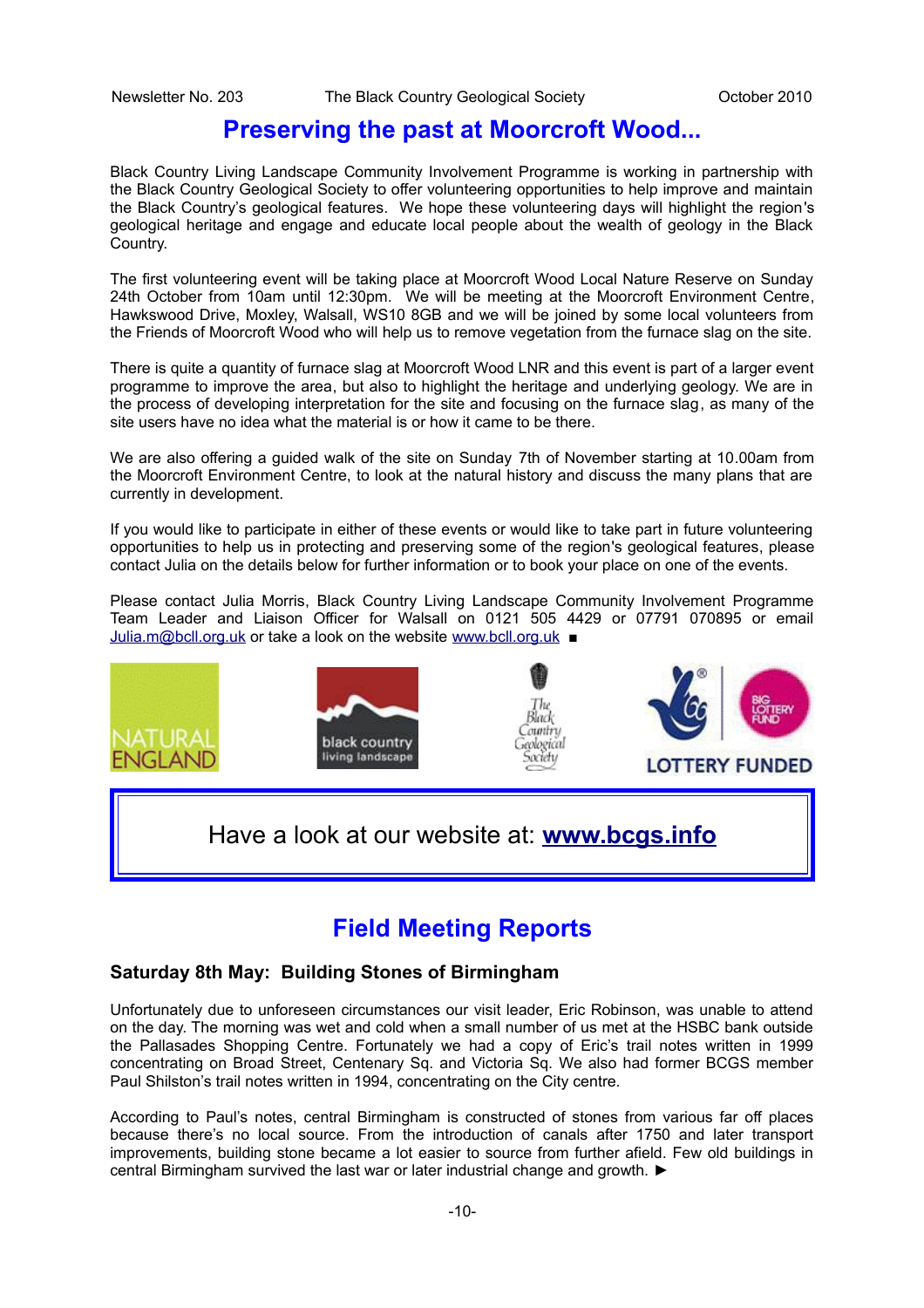#### **Preserving the past at Moorcroft Wood...**

Black Country Living Landscape Community Involvement Programme is working in partnership with the Black Country Geological Society to offer volunteering opportunities to help improve and maintain the Black Country's geological features. We hope these volunteering days will highlight the region's geological heritage and engage and educate local people about the wealth of geology in the Black Country.

The first volunteering event will be taking place at Moorcroft Wood Local Nature Reserve on Sunday 24th October from 10am until 12:30pm. We will be meeting at the Moorcroft Environment Centre, Hawkswood Drive, Moxley, Walsall, WS10 8GB and we will be joined by some local volunteers from the Friends of Moorcroft Wood who will help us to remove vegetation from the furnace slag on the site.

There is quite a quantity of furnace slag at Moorcroft Wood LNR and this event is part of a larger event programme to improve the area, but also to highlight the heritage and underlying geology. We are in the process of developing interpretation for the site and focusing on the furnace slag, as many of the site users have no idea what the material is or how it came to be there.

We are also offering a guided walk of the site on Sunday 7th of November starting at 10.00am from the Moorcroft Environment Centre, to look at the natural history and discuss the many plans that are currently in development.

If you would like to participate in either of these events or would like to take part in future volunteering opportunities to help us in protecting and preserving some of the region's geological features, please contact Julia on the details below for further information or to book your place on one of the events.

Please contact Julia Morris, Black Country Living Landscape Community Involvement Programme Team Leader and Liaison Officer for Walsall on 0121 505 4429 or 07791 070895 or email [Julia.m@bcll.org.uk](mailto:Julia.m@bcll.org.uk) or take a look on the website [www.bcll.org.uk](http://www.bcll.org.uk/) ■



#### **Field Meeting Reports**

#### **Saturday 8th May: Building Stones of Birmingham**

Unfortunately due to unforeseen circumstances our visit leader, Eric Robinson, was unable to attend on the day. The morning was wet and cold when a small number of us met at the HSBC bank outside the Pallasades Shopping Centre. Fortunately we had a copy of Eric's trail notes written in 1999 concentrating on Broad Street, Centenary Sq. and Victoria Sq. We also had former BCGS member Paul Shilston's trail notes written in 1994, concentrating on the City centre.

According to Paul's notes, central Birmingham is constructed of stones from various far off places because there's no local source. From the introduction of canals after 1750 and later transport improvements, building stone became a lot easier to source from further afield. Few old buildings in central Birmingham survived the last war or later industrial change and growth. ►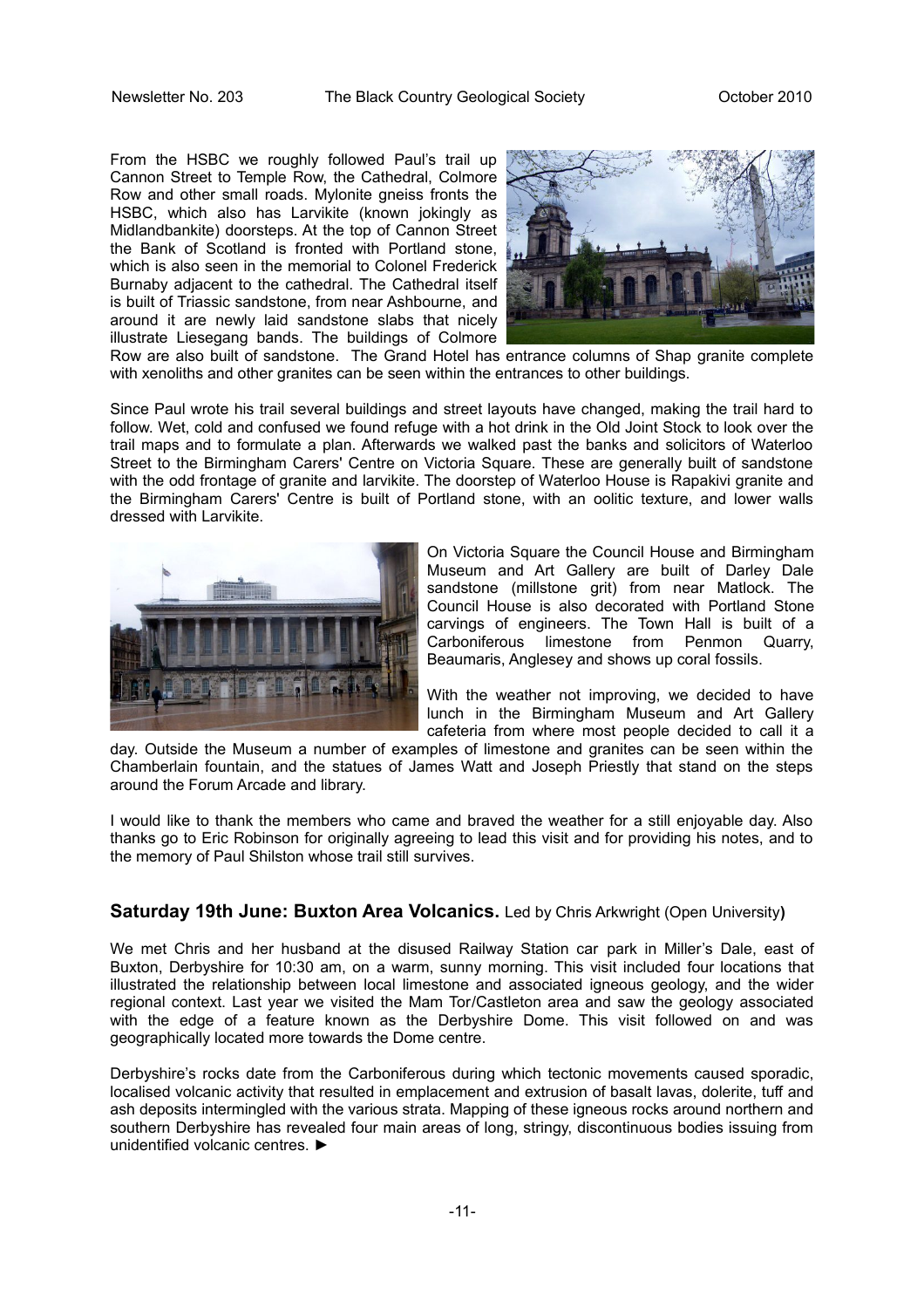From the HSBC we roughly followed Paul's trail up Cannon Street to Temple Row, the Cathedral, Colmore Row and other small roads. Mylonite gneiss fronts the HSBC, which also has Larvikite (known jokingly as Midlandbankite) doorsteps. At the top of Cannon Street the Bank of Scotland is fronted with Portland stone, which is also seen in the memorial to Colonel Frederick Burnaby adjacent to the cathedral. The Cathedral itself is built of Triassic sandstone, from near Ashbourne, and around it are newly laid sandstone slabs that nicely illustrate Liesegang bands. The buildings of Colmore



Row are also built of sandstone. The Grand Hotel has entrance columns of Shap granite complete with xenoliths and other granites can be seen within the entrances to other buildings.

Since Paul wrote his trail several buildings and street layouts have changed, making the trail hard to follow. Wet, cold and confused we found refuge with a hot drink in the Old Joint Stock to look over the trail maps and to formulate a plan. Afterwards we walked past the banks and solicitors of Waterloo Street to the Birmingham Carers' Centre on Victoria Square. These are generally built of sandstone with the odd frontage of granite and larvikite. The doorstep of Waterloo House is Rapakivi granite and the Birmingham Carers' Centre is built of Portland stone, with an oolitic texture, and lower walls dressed with Larvikite.



On Victoria Square the Council House and Birmingham Museum and Art Gallery are built of Darley Dale sandstone (millstone grit) from near Matlock. The Council House is also decorated with Portland Stone carvings of engineers. The Town Hall is built of a Carboniferous limestone from Penmon Quarry, Beaumaris, Anglesey and shows up coral fossils.

With the weather not improving, we decided to have lunch in the Birmingham Museum and Art Gallery cafeteria from where most people decided to call it a

day. Outside the Museum a number of examples of limestone and granites can be seen within the Chamberlain fountain, and the statues of James Watt and Joseph Priestly that stand on the steps around the Forum Arcade and library.

I would like to thank the members who came and braved the weather for a still enjoyable day. Also thanks go to Eric Robinson for originally agreeing to lead this visit and for providing his notes, and to the memory of Paul Shilston whose trail still survives.

#### **Saturday 19th June: Buxton Area Volcanics.** Led by Chris Arkwright (Open University**)**

We met Chris and her husband at the disused Railway Station car park in Miller's Dale, east of Buxton, Derbyshire for 10:30 am, on a warm, sunny morning. This visit included four locations that illustrated the relationship between local limestone and associated igneous geology, and the wider regional context. Last year we visited the Mam Tor/Castleton area and saw the geology associated with the edge of a feature known as the Derbyshire Dome. This visit followed on and was geographically located more towards the Dome centre.

Derbyshire's rocks date from the Carboniferous during which tectonic movements caused sporadic, localised volcanic activity that resulted in emplacement and extrusion of basalt lavas, dolerite, tuff and ash deposits intermingled with the various strata. Mapping of these igneous rocks around northern and southern Derbyshire has revealed four main areas of long, stringy, discontinuous bodies issuing from unidentified volcanic centres. ►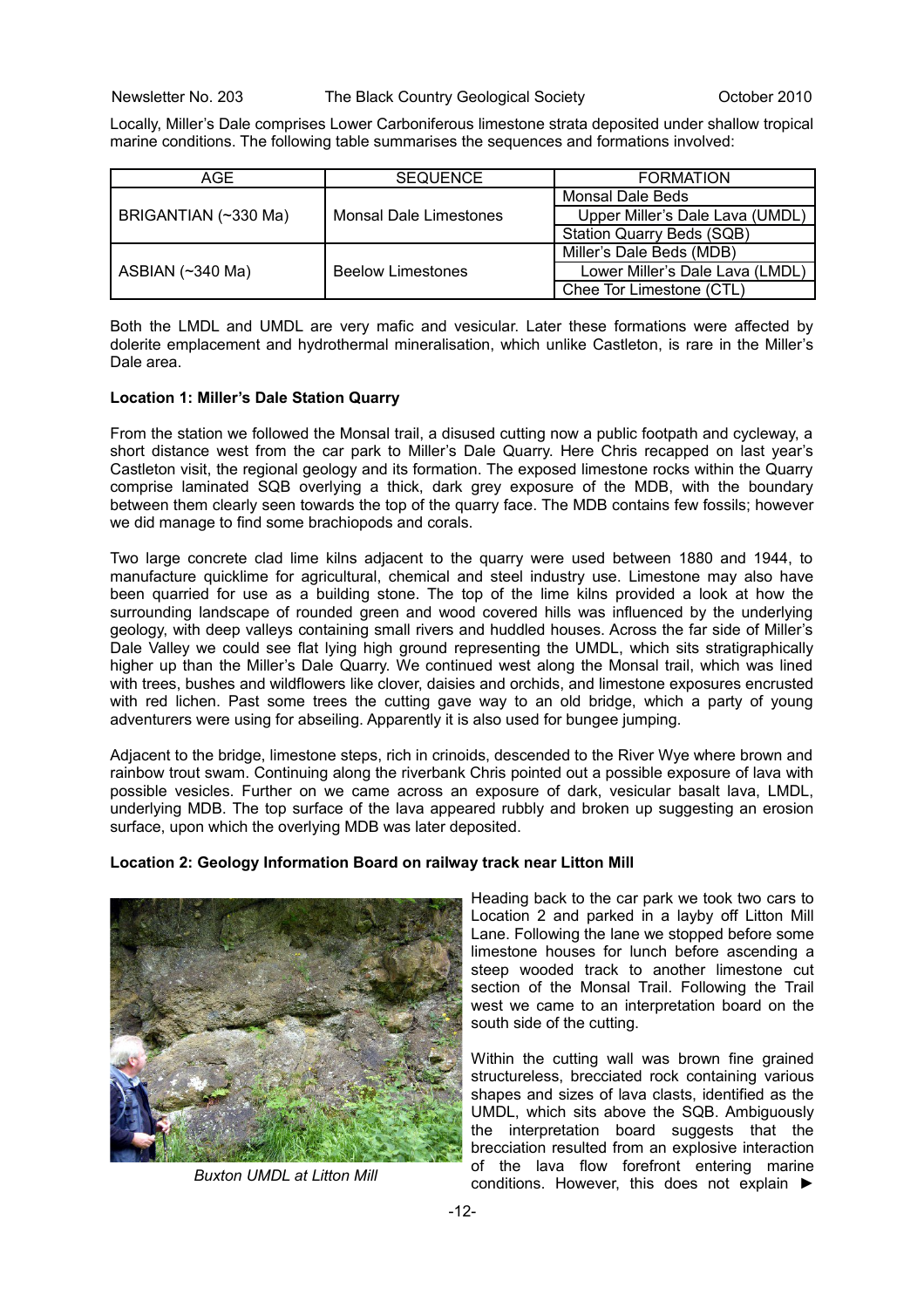Locally, Miller's Dale comprises Lower Carboniferous limestone strata deposited under shallow tropical marine conditions. The following table summarises the sequences and formations involved:

| AGE.                 | <b>SEQUENCE</b>          | <b>FORMATION</b>                 |  |  |
|----------------------|--------------------------|----------------------------------|--|--|
|                      |                          | Monsal Dale Beds                 |  |  |
| BRIGANTIAN (~330 Ma) | Monsal Dale Limestones   | Upper Miller's Dale Lava (UMDL)  |  |  |
|                      |                          | <b>Station Quarry Beds (SQB)</b> |  |  |
|                      |                          | Miller's Dale Beds (MDB)         |  |  |
| ASBIAN (~340 Ma)     | <b>Beelow Limestones</b> | Lower Miller's Dale Lava (LMDL)  |  |  |
|                      |                          | Chee Tor Limestone (CTL)         |  |  |

Both the LMDL and UMDL are very mafic and vesicular. Later these formations were affected by dolerite emplacement and hydrothermal mineralisation, which unlike Castleton, is rare in the Miller's Dale area.

#### **Location 1: Miller's Dale Station Quarry**

From the station we followed the Monsal trail, a disused cutting now a public footpath and cycleway, a short distance west from the car park to Miller's Dale Quarry. Here Chris recapped on last year's Castleton visit, the regional geology and its formation. The exposed limestone rocks within the Quarry comprise laminated SQB overlying a thick, dark grey exposure of the MDB, with the boundary between them clearly seen towards the top of the quarry face. The MDB contains few fossils; however we did manage to find some brachiopods and corals.

Two large concrete clad lime kilns adjacent to the quarry were used between 1880 and 1944, to manufacture quicklime for agricultural, chemical and steel industry use. Limestone may also have been quarried for use as a building stone. The top of the lime kilns provided a look at how the surrounding landscape of rounded green and wood covered hills was influenced by the underlying geology, with deep valleys containing small rivers and huddled houses. Across the far side of Miller's Dale Valley we could see flat lying high ground representing the UMDL, which sits stratigraphically higher up than the Miller's Dale Quarry. We continued west along the Monsal trail, which was lined with trees, bushes and wildflowers like clover, daisies and orchids, and limestone exposures encrusted with red lichen. Past some trees the cutting gave way to an old bridge, which a party of young adventurers were using for abseiling. Apparently it is also used for bungee jumping.

Adjacent to the bridge, limestone steps, rich in crinoids, descended to the River Wye where brown and rainbow trout swam. Continuing along the riverbank Chris pointed out a possible exposure of lava with possible vesicles. Further on we came across an exposure of dark, vesicular basalt lava, LMDL, underlying MDB. The top surface of the lava appeared rubbly and broken up suggesting an erosion surface, upon which the overlying MDB was later deposited.

#### **Location 2: Geology Information Board on railway track near Litton Mill**



*Buxton UMDL at Litton Mill*

Heading back to the car park we took two cars to Location 2 and parked in a layby off Litton Mill Lane. Following the lane we stopped before some limestone houses for lunch before ascending a steep wooded track to another limestone cut section of the Monsal Trail. Following the Trail west we came to an interpretation board on the south side of the cutting.

Within the cutting wall was brown fine grained structureless, brecciated rock containing various shapes and sizes of lava clasts, identified as the UMDL, which sits above the SQB. Ambiguously the interpretation board suggests that the brecciation resulted from an explosive interaction of the lava flow forefront entering marine conditions. However, this does not explain ►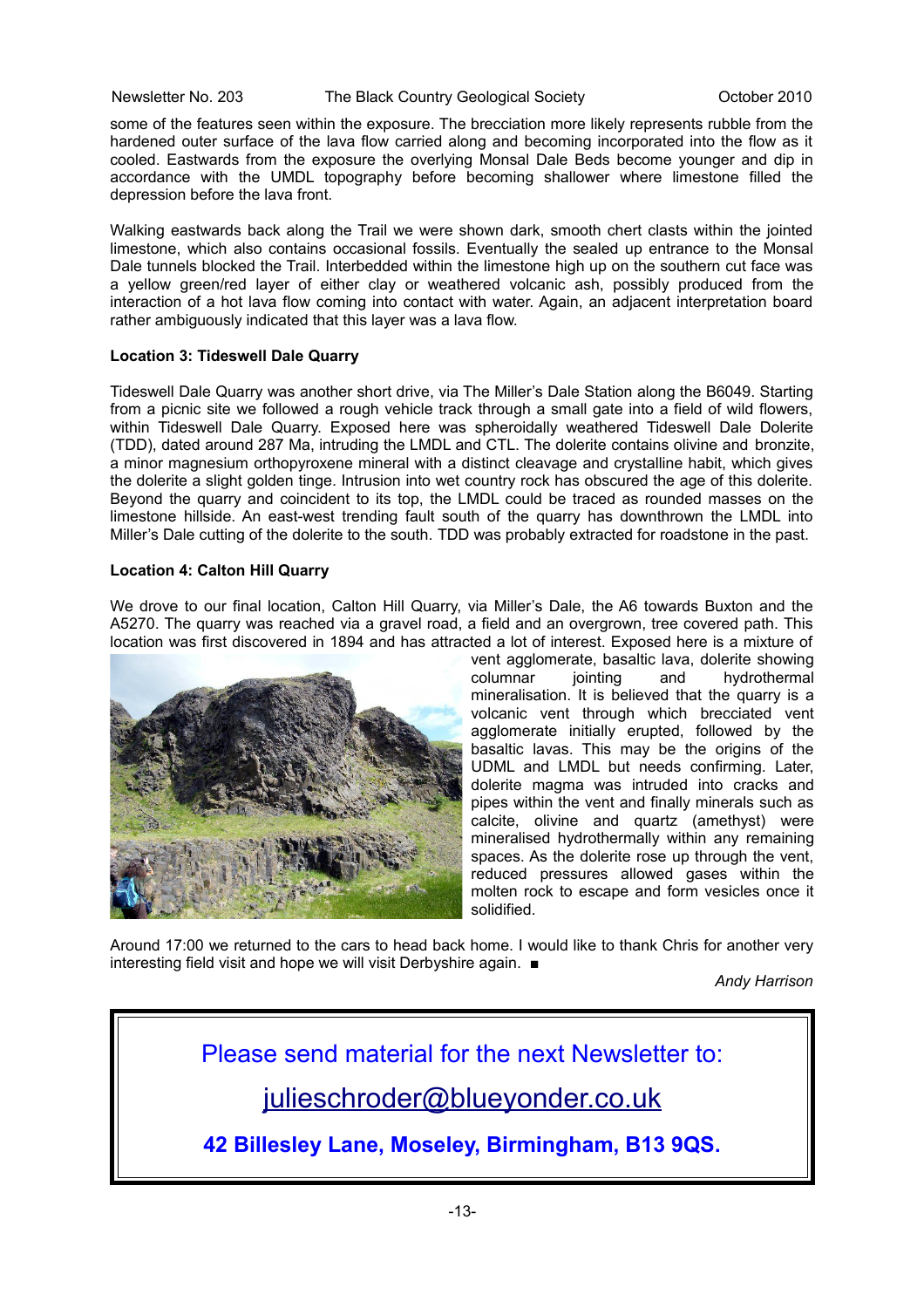Newsletter No. 203 The Black Country Geological Society Corober 2010

some of the features seen within the exposure. The brecciation more likely represents rubble from the hardened outer surface of the lava flow carried along and becoming incorporated into the flow as it cooled. Eastwards from the exposure the overlying Monsal Dale Beds become younger and dip in accordance with the UMDL topography before becoming shallower where limestone filled the depression before the lava front.

Walking eastwards back along the Trail we were shown dark, smooth chert clasts within the jointed limestone, which also contains occasional fossils. Eventually the sealed up entrance to the Monsal Dale tunnels blocked the Trail. Interbedded within the limestone high up on the southern cut face was a yellow green/red layer of either clay or weathered volcanic ash, possibly produced from the interaction of a hot lava flow coming into contact with water. Again, an adjacent interpretation board rather ambiguously indicated that this layer was a lava flow.

#### **Location 3: Tideswell Dale Quarry**

Tideswell Dale Quarry was another short drive, via The Miller's Dale Station along the B6049. Starting from a picnic site we followed a rough vehicle track through a small gate into a field of wild flowers, within Tideswell Dale Quarry. Exposed here was spheroidally weathered Tideswell Dale Dolerite (TDD), dated around 287 Ma, intruding the LMDL and CTL. The dolerite contains olivine and bronzite, a minor magnesium orthopyroxene mineral with a distinct cleavage and crystalline habit, which gives the dolerite a slight golden tinge. Intrusion into wet country rock has obscured the age of this dolerite. Beyond the quarry and coincident to its top, the LMDL could be traced as rounded masses on the limestone hillside. An east-west trending fault south of the quarry has downthrown the LMDL into Miller's Dale cutting of the dolerite to the south. TDD was probably extracted for roadstone in the past.

#### **Location 4: Calton Hill Quarry**

We drove to our final location, Calton Hill Quarry, via Miller's Dale, the A6 towards Buxton and the A5270. The quarry was reached via a gravel road, a field and an overgrown, tree covered path. This location was first discovered in 1894 and has attracted a lot of interest. Exposed here is a mixture of



vent agglomerate, basaltic lava, dolerite showing columnar jointing and hydrothermal mineralisation. It is believed that the quarry is a volcanic vent through which brecciated vent agglomerate initially erupted, followed by the basaltic lavas. This may be the origins of the UDML and LMDL but needs confirming. Later, dolerite magma was intruded into cracks and pipes within the vent and finally minerals such as calcite, olivine and quartz (amethyst) were mineralised hydrothermally within any remaining spaces. As the dolerite rose up through the vent, reduced pressures allowed gases within the molten rock to escape and form vesicles once it solidified.

Around 17:00 we returned to the cars to head back home. I would like to thank Chris for another very interesting field visit and hope we will visit Derbyshire again. ■

*Andy Harrison*

Please send material for the next Newsletter to: [julieschroder@blueyonder.co.uk](mailto:julieschroder@blueyonder.co.uk)

**42 Billesley Lane, Moseley, Birmingham, B13 9QS.**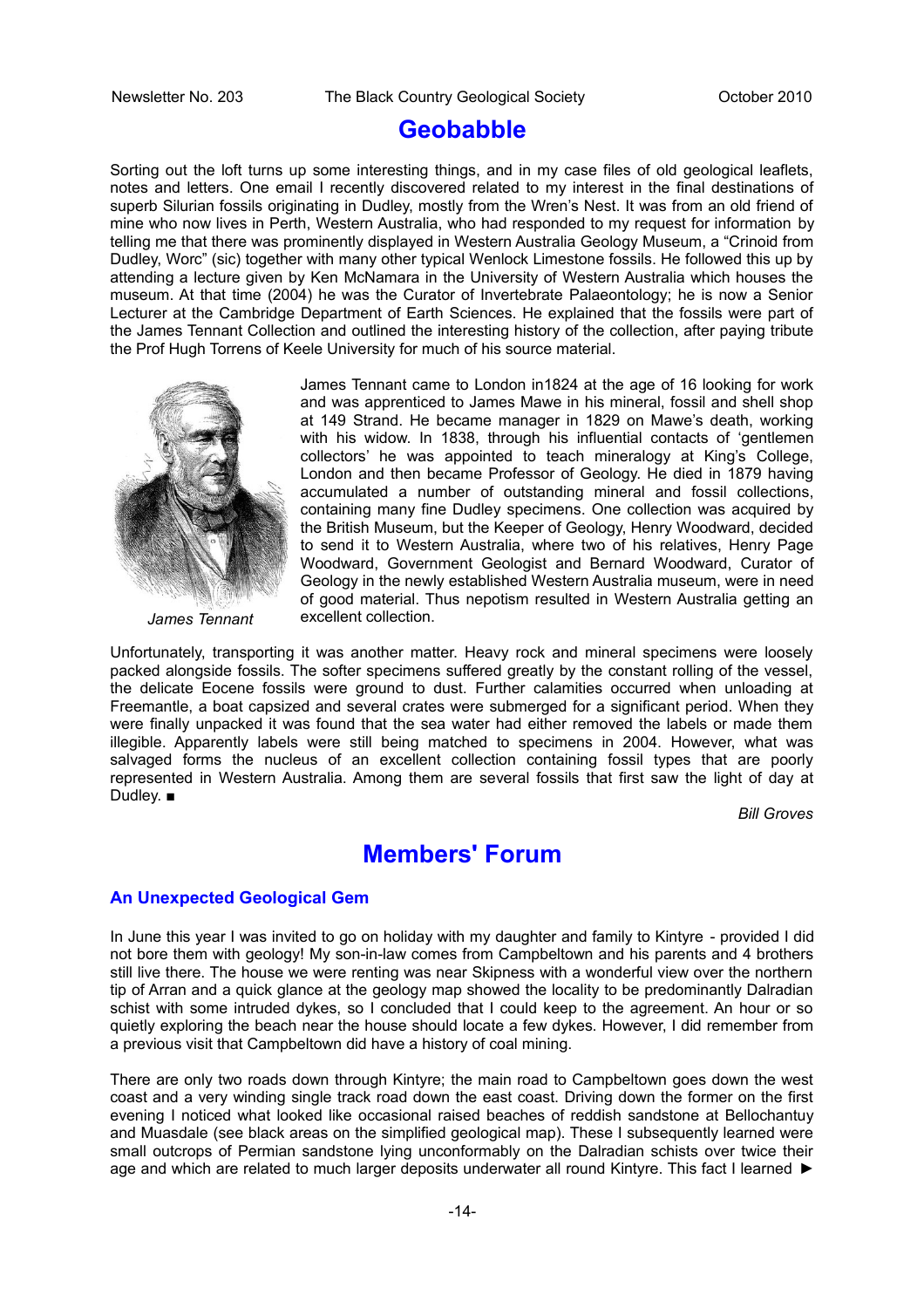#### **Geobabble**

Sorting out the loft turns up some interesting things, and in my case files of old geological leaflets, notes and letters. One email I recently discovered related to my interest in the final destinations of superb Silurian fossils originating in Dudley, mostly from the Wren's Nest. It was from an old friend of mine who now lives in Perth, Western Australia, who had responded to my request for information by telling me that there was prominently displayed in Western Australia Geology Museum, a "Crinoid from Dudley, Worc" (sic) together with many other typical Wenlock Limestone fossils. He followed this up by attending a lecture given by Ken McNamara in the University of Western Australia which houses the museum. At that time (2004) he was the Curator of Invertebrate Palaeontology; he is now a Senior Lecturer at the Cambridge Department of Earth Sciences. He explained that the fossils were part of the James Tennant Collection and outlined the interesting history of the collection, after paying tribute the Prof Hugh Torrens of Keele University for much of his source material.



*James Tennant*

James Tennant came to London in1824 at the age of 16 looking for work and was apprenticed to James Mawe in his mineral, fossil and shell shop at 149 Strand. He became manager in 1829 on Mawe's death, working with his widow. In 1838, through his influential contacts of 'gentlemen collectors' he was appointed to teach mineralogy at King's College, London and then became Professor of Geology. He died in 1879 having accumulated a number of outstanding mineral and fossil collections, containing many fine Dudley specimens. One collection was acquired by the British Museum, but the Keeper of Geology, Henry Woodward, decided to send it to Western Australia, where two of his relatives, Henry Page Woodward, Government Geologist and Bernard Woodward, Curator of Geology in the newly established Western Australia museum, were in need of good material. Thus nepotism resulted in Western Australia getting an excellent collection.

Unfortunately, transporting it was another matter. Heavy rock and mineral specimens were loosely packed alongside fossils. The softer specimens suffered greatly by the constant rolling of the vessel, the delicate Eocene fossils were ground to dust. Further calamities occurred when unloading at Freemantle, a boat capsized and several crates were submerged for a significant period. When they were finally unpacked it was found that the sea water had either removed the labels or made them illegible. Apparently labels were still being matched to specimens in 2004. However, what was salvaged forms the nucleus of an excellent collection containing fossil types that are poorly represented in Western Australia. Among them are several fossils that first saw the light of day at Dudley. ■

*Bill Groves*

#### **Members' Forum**

#### **An Unexpected Geological Gem**

In June this year I was invited to go on holiday with my daughter and family to Kintyre - provided I did not bore them with geology! My son-in-law comes from Campbeltown and his parents and 4 brothers still live there. The house we were renting was near Skipness with a wonderful view over the northern tip of Arran and a quick glance at the geology map showed the locality to be predominantly Dalradian schist with some intruded dykes, so I concluded that I could keep to the agreement. An hour or so quietly exploring the beach near the house should locate a few dykes. However, I did remember from a previous visit that Campbeltown did have a history of coal mining.

There are only two roads down through Kintyre; the main road to Campbeltown goes down the west coast and a very winding single track road down the east coast. Driving down the former on the first evening I noticed what looked like occasional raised beaches of reddish sandstone at Bellochantuy and Muasdale (see black areas on the simplified geological map). These I subsequently learned were small outcrops of Permian sandstone lying unconformably on the Dalradian schists over twice their age and which are related to much larger deposits underwater all round Kintyre. This fact I learned ►